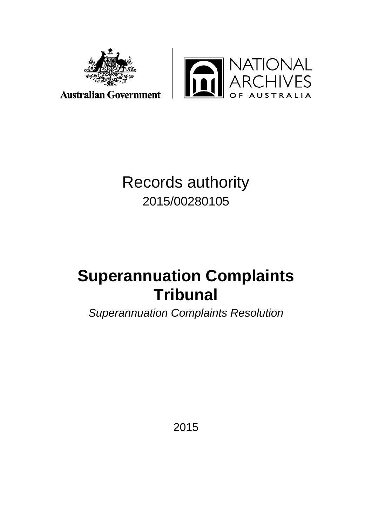



**Australian Government** 

# Records authority 2015/00280105

# **Superannuation Complaints Tribunal**

*Superannuation Complaints Resolution* 

2015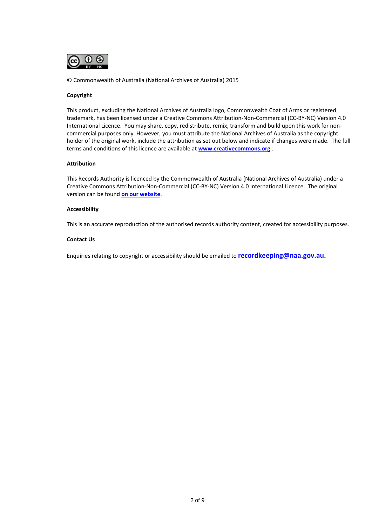

© Commonwealth of Australia (National Archives of Australia) 2015

### **Copyright**

This product, excluding the National Archives of Australia logo, Commonwealth Coat of Arms or registered trademark, has been licensed under a Creative Commons Attribution-Non-Commercial (CC-BY-NC) Version 4.0 International Licence. You may share, copy, redistribute, remix, transform and build upon this work for noncommercial purposes only. However, you must attribute the National Archives of Australia as the copyright holder of the original work, include the attribution as set out below and indicate if changes were made. The full terms and conditions of this licence are available at **[www.creativecommons.org](http://www.creativecommons.org/)** .

#### **Attribution**

This Records Authority is licenced by the Commonwealth of Australia (National Archives of Australia) under a Creative Commons Attribution-Non-Commercial (CC-BY-NC) Version 4.0 International Licence. The original version can be found **[on our website](http://www.naa.gov.au/)**.

#### **Accessibility**

This is an accurate reproduction of the authorised records authority content, created for accessibility purposes.

#### **Contact Us**

Enquiries relating to copyright or accessibility should be emailed to **[recordkeeping@naa.gov.au.](mailto:recordkeeping@naa.gov.au)**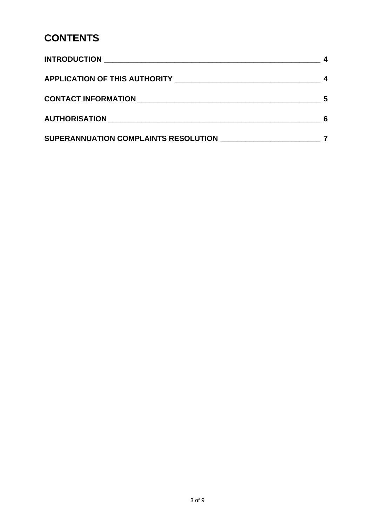## **CONTENTS**

| APPLICATION OF THIS AUTHORITY NAMES ARE AND THE RESERVE TO A REPORT OF THIS AUTHORITY |   |
|---------------------------------------------------------------------------------------|---|
|                                                                                       | 5 |
|                                                                                       | 6 |
| SUPERANNUATION COMPLAINTS RESOLUTION                                                  |   |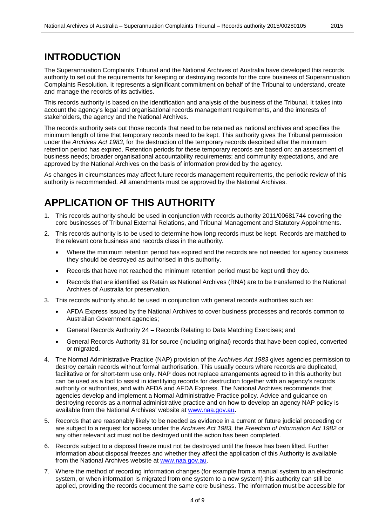### **INTRODUCTION**

The Superannuation Complaints Tribunal and the National Archives of Australia have developed this records authority to set out the requirements for keeping or destroying records for the core business of Superannuation Complaints Resolution. It represents a significant commitment on behalf of the Tribunal to understand, create and manage the records of its activities.

This records authority is based on the identification and analysis of the business of the Tribunal. It takes into account the agency's legal and organisational records management requirements, and the interests of stakeholders, the agency and the National Archives.

The records authority sets out those records that need to be retained as national archives and specifies the minimum length of time that temporary records need to be kept. This authority gives the Tribunal permission under the *Archives Act 1983*, for the destruction of the temporary records described after the minimum retention period has expired. Retention periods for these temporary records are based on: an assessment of business needs; broader organisational accountability requirements; and community expectations, and are approved by the National Archives on the basis of information provided by the agency.

As changes in circumstances may affect future records management requirements, the periodic review of this authority is recommended. All amendments must be approved by the National Archives.

### **APPLICATION OF THIS AUTHORITY**

- 1. This records authority should be used in conjunction with records authority 2011/00681744 covering the core businesses of Tribunal External Relations, and Tribunal Management and Statutory Appointments.
- 2. This records authority is to be used to determine how long records must be kept. Records are matched to the relevant core business and records class in the authority.
	- Where the minimum retention period has expired and the records are not needed for agency business they should be destroyed as authorised in this authority.
	- Records that have not reached the minimum retention period must be kept until they do.
	- Records that are identified as Retain as National Archives (RNA) are to be transferred to the National Archives of Australia for preservation.
- 3. This records authority should be used in conjunction with general records authorities such as:
	- AFDA Express issued by the National Archives to cover business processes and records common to Australian Government agencies;
	- General Records Authority 24 Records Relating to Data Matching Exercises; and
	- General Records Authority 31 for source (including original) records that have been copied, converted or migrated.
- 4. The Normal Administrative Practice (NAP) provision of the *Archives Act 1983* gives agencies permission to destroy certain records without formal authorisation. This usually occurs where records are duplicated, facilitative or for short-term use only. NAP does not replace arrangements agreed to in this authority but can be used as a tool to assist in identifying records for destruction together with an agency's records authority or authorities, and with AFDA and AFDA Express. The National Archives recommends that agencies develop and implement a Normal Administrative Practice policy. Advice and guidance on destroying records as a normal administrative practice and on how to develop an agency NAP policy is available from the National Archives' website at [www.naa.gov.au](http://www.naa.gov.au/)**.**
- 5. Records that are reasonably likely to be needed as evidence in a current or future judicial proceeding or are subject to a request for access under the *Archives Act 1983,* the *Freedom of Information Act 1982* or any other relevant act must not be destroyed until the action has been completed.
- 6. Records subject to a disposal freeze must not be destroyed until the freeze has been lifted. Further information about disposal freezes and whether they affect the application of this Authority is available from the National Archives website at [www.naa.gov.au.](http://www.naa.gov.au/)
- 7. Where the method of recording information changes (for example from a manual system to an electronic system, or when information is migrated from one system to a new system) this authority can still be applied, providing the records document the same core business. The information must be accessible for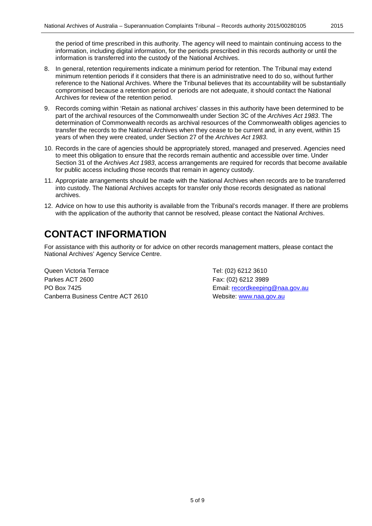the period of time prescribed in this authority. The agency will need to maintain continuing access to the information, including digital information, for the periods prescribed in this records authority or until the information is transferred into the custody of the National Archives.

- 8. In general, retention requirements indicate a minimum period for retention. The Tribunal may extend minimum retention periods if it considers that there is an administrative need to do so, without further reference to the National Archives. Where the Tribunal believes that its accountability will be substantially compromised because a retention period or periods are not adequate, it should contact the National Archives for review of the retention period.
- 9. Records coming within 'Retain as national archives' classes in this authority have been determined to be part of the archival resources of the Commonwealth under Section 3C of the *Archives Act 1983*. The determination of Commonwealth records as archival resources of the Commonwealth obliges agencies to transfer the records to the National Archives when they cease to be current and, in any event, within 15 years of when they were created, under Section 27 of the *Archives Act 1983*.
- 10. Records in the care of agencies should be appropriately stored, managed and preserved. Agencies need to meet this obligation to ensure that the records remain authentic and accessible over time. Under Section 31 of the *Archives Act 1983*, access arrangements are required for records that become available for public access including those records that remain in agency custody.
- 11. Appropriate arrangements should be made with the National Archives when records are to be transferred into custody. The National Archives accepts for transfer only those records designated as national archives.
- 12. Advice on how to use this authority is available from the Tribunal's records manager. If there are problems with the application of the authority that cannot be resolved, please contact the National Archives.

# **CONTACT INFORMATION**

For assistance with this authority or for advice on other records management matters, please contact the National Archives' Agency Service Centre.

Queen Victoria Terrace Tel: (02) 6212 3610 Parkes ACT 2600 Fax: (02) 6212 3989 PO Box 7425 **Email: [recordkeeping@naa.gov.au](mailto:recordkeeping@naa.gov.au)** Canberra Business Centre ACT 2610 Website: [www.naa.gov.au](http://www.naa.gov.au/)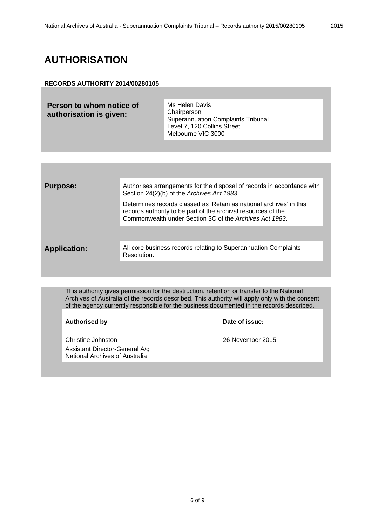### **AUTHORISATION**

### **RECORDS AUTHORITY 2014/00280105**

| Person to whom notice of | Ms Helen Davis                                                                          |
|--------------------------|-----------------------------------------------------------------------------------------|
| authorisation is given:  | Chairperson<br><b>Superannuation Complaints Tribunal</b><br>Level 7, 120 Collins Street |
|                          |                                                                                         |

| <b>Purpose:</b>     | Authorises arrangements for the disposal of records in accordance with<br>Section 24(2)(b) of the Archives Act 1983.                                                                            |
|---------------------|-------------------------------------------------------------------------------------------------------------------------------------------------------------------------------------------------|
|                     | Determines records classed as 'Retain as national archives' in this<br>records authority to be part of the archival resources of the<br>Commonwealth under Section 3C of the Archives Act 1983. |
|                     |                                                                                                                                                                                                 |
| <b>Application:</b> | All core business records relating to Superannuation Complaints<br>Resolution.                                                                                                                  |
|                     |                                                                                                                                                                                                 |

Melbourne VIC 3000

This authority gives permission for the destruction, retention or transfer to the National Archives of Australia of the records described. This authority will apply only with the consent of the agency currently responsible for the business documented in the records described.

### **Authorised by Date of issue:**

Christine Johnston 26 November 2015 Assistant Director-General A/g National Archives of Australia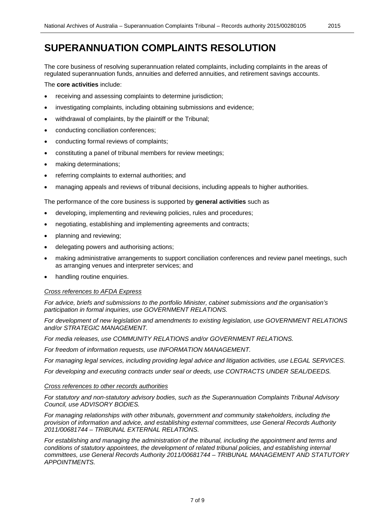The core business of resolving superannuation related complaints, including complaints in the areas of regulated superannuation funds, annuities and deferred annuities, and retirement savings accounts.

The **core activities** include:

- receiving and assessing complaints to determine jurisdiction;
- investigating complaints, including obtaining submissions and evidence;
- withdrawal of complaints, by the plaintiff or the Tribunal;
- conducting conciliation conferences;
- conducting formal reviews of complaints;
- constituting a panel of tribunal members for review meetings;
- making determinations;
- referring complaints to external authorities; and
- managing appeals and reviews of tribunal decisions, including appeals to higher authorities.

The performance of the core business is supported by **general activities** such as

- developing, implementing and reviewing policies, rules and procedures;
- negotiating, establishing and implementing agreements and contracts;
- planning and reviewing;
- delegating powers and authorising actions;
- making administrative arrangements to support conciliation conferences and review panel meetings, such as arranging venues and interpreter services; and
- handling routine enquiries.

### *Cross references to AFDA Express*

*For advice, briefs and submissions to the portfolio Minister, cabinet submissions and the organisation's participation in formal inquiries, use GOVERNMENT RELATIONS.*

*For development of new legislation and amendments to existing legislation, use GOVERNMENT RELATIONS and/or STRATEGIC MANAGEMENT.*

*For media releases, use COMMUNITY RELATIONS and/or GOVERNMENT RELATIONS.*

*For freedom of information requests, use INFORMATION MANAGEMENT.*

*For managing legal services, including providing legal advice and litigation activities, use LEGAL SERVICES.*

*For developing and executing contracts under seal or deeds, use CONTRACTS UNDER SEAL/DEEDS.*

### *Cross references to other records authorities*

*For statutory and non-statutory advisory bodies, such as the Superannuation Complaints Tribunal Advisory Council, use ADVISORY BODIES.*

*For managing relationships with other tribunals, government and community stakeholders, including the provision of information and advice, and establishing external committees, use General Records Authority 2011/00681744 – TRIBUNAL EXTERNAL RELATIONS.*

*For establishing and managing the administration of the tribunal, including the appointment and terms and conditions of statutory appointees, the development of related tribunal policies, and establishing internal committees, use General Records Authority 2011/00681744 – TRIBUNAL MANAGEMENT AND STATUTORY APPOINTMENTS.*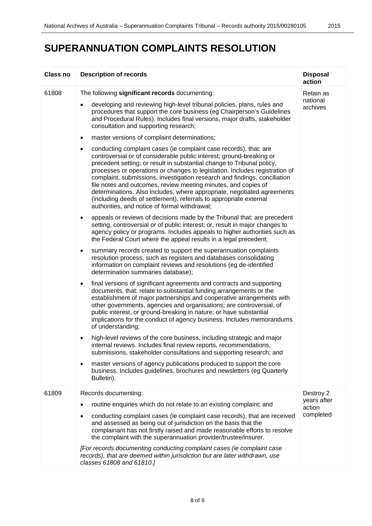# **SUPERANNUATION COMPLAINTS RESOLUTION**

| <b>Class no</b> | <b>Description of records</b>                                                                                                                                                                                                                                                                                                                                                                                                                                                                                                                                                                                                                                    | <b>Disposal</b><br>action          |
|-----------------|------------------------------------------------------------------------------------------------------------------------------------------------------------------------------------------------------------------------------------------------------------------------------------------------------------------------------------------------------------------------------------------------------------------------------------------------------------------------------------------------------------------------------------------------------------------------------------------------------------------------------------------------------------------|------------------------------------|
| 61808           | The following significant records documenting:                                                                                                                                                                                                                                                                                                                                                                                                                                                                                                                                                                                                                   | Retain as                          |
|                 | developing and reviewing high-level tribunal policies, plans, rules and<br>$\bullet$<br>procedures that support the core business (eg Chairperson's Guidelines<br>and Procedural Rules). Includes final versions, major drafts, stakeholder<br>consultation and supporting research;                                                                                                                                                                                                                                                                                                                                                                             | national<br>archives               |
|                 | master versions of complaint determinations;<br>$\bullet$                                                                                                                                                                                                                                                                                                                                                                                                                                                                                                                                                                                                        |                                    |
|                 | conducting complaint cases (ie complaint case records), that: are<br>$\bullet$<br>controversial or of considerable public interest; ground-breaking or<br>precedent setting; or result in substantial change to Tribunal policy,<br>processes or operations or changes to legislation. Includes registration of<br>complaint, submissions, investigation research and findings, conciliation<br>file notes and outcomes, review meeting minutes, and copies of<br>determinations. Also includes, where appropriate, negotiated agreements<br>(including deeds of settlement), referrals to appropriate external<br>authorities, and notice of formal withdrawal; |                                    |
|                 | appeals or reviews of decisions made by the Tribunal that: are precedent<br>$\bullet$<br>setting, controversial or of public interest; or, result in major changes to<br>agency policy or programs. Includes appeals to higher authorities such as<br>the Federal Court where the appeal results in a legal precedent;                                                                                                                                                                                                                                                                                                                                           |                                    |
|                 | summary records created to support the superannuation complaints<br>$\bullet$<br>resolution process, such as registers and databases consolidating<br>information on complaint reviews and resolutions (eg de-identified<br>determination summaries database);                                                                                                                                                                                                                                                                                                                                                                                                   |                                    |
|                 | final versions of significant agreements and contracts and supporting<br>$\bullet$<br>documents, that: relate to substantial funding arrangements or the<br>establishment of major partnerships and cooperative arrangements with<br>other governments, agencies and organisations; are controversial, of<br>public interest, or ground-breaking in nature; or have substantial<br>implications for the conduct of agency business. Includes memorandums<br>of understanding;                                                                                                                                                                                    |                                    |
|                 | high-level reviews of the core business, including strategic and major<br>$\bullet$<br>internal reviews. Includes final review reports, recommendations,<br>submissions, stakeholder consultations and supporting research; and                                                                                                                                                                                                                                                                                                                                                                                                                                  |                                    |
|                 | master versions of agency publications produced to support the core<br>$\bullet$<br>business. Includes guidelines, brochures and newsletters (eg Quarterly<br>Bulletin).                                                                                                                                                                                                                                                                                                                                                                                                                                                                                         |                                    |
| 61809           | Records documenting:                                                                                                                                                                                                                                                                                                                                                                                                                                                                                                                                                                                                                                             | Destroy 2                          |
|                 | routine enquiries which do not relate to an existing complaint; and<br>$\bullet$                                                                                                                                                                                                                                                                                                                                                                                                                                                                                                                                                                                 | years after<br>action<br>completed |
|                 | conducting complaint cases (ie complaint case records), that are received<br>$\bullet$<br>and assessed as being out of jurisdiction on the basis that the<br>complainant has not firstly raised and made reasonable efforts to resolve<br>the complaint with the superannuation provider/trustee/insurer.                                                                                                                                                                                                                                                                                                                                                        |                                    |
|                 | [For records documenting conducting complaint cases (ie complaint case<br>records), that are deemed within jurisdiction but are later withdrawn, use<br>classes 61808 and 61810.]                                                                                                                                                                                                                                                                                                                                                                                                                                                                                |                                    |